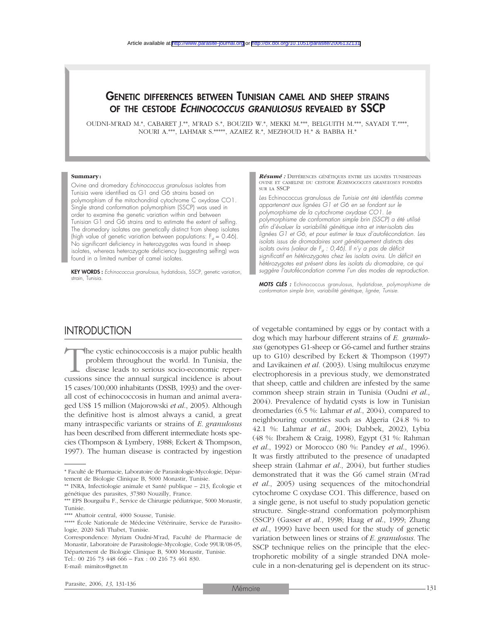## **GENETIC DIFFERENCES BETWEEN TUNISIAN CAMEL AND SHEEP STRAINS OF THE CESTODE** *ECHINOCOCCUS GRANULOSUS* **REVEALED BY SSCP**

OUDNI-M'RAD M.\*, CABARET J.\*\*, M'RAD S.\*, BOUZID W.\*, MEKKI M.\*\*\*, BELGUITH M.\*\*\*, SAYADI T.\*\*\*\*, NOURI A.\*\*\*, LAHMAR S.\*\*\*\*\*, AZAIEZ R.\*, MEZHOUD H.\* & BABBA H.\*

#### **Summary:**

Ovine and dromedary *Echinococcus granulosus* isolates from Tunisia were identified as G1 and G6 strains based on polymorphism of the mitochondrial cytochrome C oxydase CO1. Single strand conformation polymorphism (SSCP) was used in order to examine the genetic variation within and between Tunisian G1 and G6 strains and to estimate the extent of selfing. The dromedary isolates are genetically distinct from sheep isolates (high value of genetic variation between populations:  $F_{st} = 0.46$ ). No significant deficiency in heterozygotes was found in sheep isolates, whereas heterozygote deficiency (suggesting selfing) was found in a limited number of camel isolates.

strain, Tunisia.

*Résumé :* DIFFÉRENCES GÉNÉTIQUES ENTRE LES LIGNÉES TUNISIENNES OVINE ET CAMELINE DU CESTODE *ECHINOCOCCUS GRANULOSUS* FONDÉES SUR LA SSCP

*Les* Echinococcus granulosus *de Tunisie ont été identifiés comme appartenant aux lignées G1 et G6 en se fondant sur le polymorphisme de la cytochrome oxydase CO1. Le polymorphisme de conformation simple brin (SSCP) a été utilisé afin d'évaluer la variabilité génétique intra et inter-isolats des lignées G1 et G6, et pour estimer le taux d'autofécondation. Les isolats issus de dromadaires sont génétiquement distincts des isolats ovins (valeur de Fst : 0,46). Il n'y a pas de déficit significatif en hétérozygotes chez les isolats ovins. Un déficit en hétérozygotes est présent dans les isolats du dromadaire, ce qui* **KEY WORDS :** *Echinococcus granulosus suggère l'autofécondation comme l'un des modes de reproduction.* , hydatidosis, SSCP, genetic variation,

> *MOTS CLÉS :* Echinococcus granulosus*, hydatidose, polymorphisme de conformation simple brin, variabilité génétique, lignée, Tunisie.*

of vegetable contamined by eggs or by contact with a

### **INTRODUCTION**

The cystic echinococcosis is a major public health problem throughout the world. In Tunisia, the disease leads to serious socio-economic repercussions since the annual surgical incidence is about 15 cases/100,000 inhabitants (DSSB, 1993) and the overall cost of echinococcosis in human and animal averaged US\$ 15 million (Majorowski *et al*., 2005). Although the definitive host is almost always a canid, a great many intraspecific variants or strains of *E. granulosus* has been described from different intermediate hosts species (Thompson & Lymbery, 1988; Eckert & Thompson, 1997). The human disease is contracted by ingestion

E-mail: mimitos@gnet.tn

Parasite, 2006, *13*, 131-136 Mémoire Mémoire 131

dog which may harbour different strains of *E. granulosus* (genotypes G1-sheep or G6-camel and further strains up to G10) described by Eckert & Thompson (1997) and Lavikainen *et al.* (2003). Using multilocus enzyme electrophoresis in a previous study, we demonstrated that sheep, cattle and children are infested by the same common sheep strain strain in Tunisia (Oudni *et al*., 2004). Prevalence of hydatid cysts is low in Tunisian dromedaries (6.5 %: Lahmar *et al*., 2004), compared to neighbouring countries such as Algeria (24.8 % to 42.1 %: Lahmar *et al*., 2004; Dabbek, 2002), Lybia (48 %: Ibrahem & Craig, 1998), Egypt (31 %: Rahman *et al*., 1992) or Morocco (80 %: Pandey *et al*., 1996). It was firstly attributed to the presence of unadapted sheep strain (Lahmar *et al*., 2004), but further studies demonstrated that it was the G6 camel strain (M'rad *et al*., 2005) using sequences of the mitochondrial cytochrome C oxydase CO1. This difference, based on a single gene, is not useful to study population genetic structure. Single-strand conformation polymorphism (SSCP) (Gasser *et al*., 1998; Haag *et al*., 1999; Zhang *et al*., 1999) have been used for the study of genetic variation between lines or strains of *E. granulosus*. The SSCP technique relies on the principle that the electrophoretic mobility of a single stranded DNA molecule in a non-denaturing gel is dependent on its struc-

<sup>\*</sup> Faculté de Pharmacie, Laboratoire de Parasitologie-Mycologie, Département de Biologie Clinique B, 5000 Monastir, Tunisie.

<sup>\*\*</sup> INRA, Infectiologie animale et Santé publique – 213, Écologie et génétique des parasites, 37380 Nouzilly, France.

<sup>\*\*\*</sup> EPS Bourguiba F., Service de Chirurgie pédiatrique, 5000 Monastir, Tunisie.

<sup>\*\*\*\*</sup> Abattoir central, 4000 Sousse, Tunisie.

<sup>\*\*\*\*\*</sup> École Nationale de Médecine Vétérinaire, Service de Parasitologie, 2020 Sidi Thabet, Tunisie.

Correspondence: Myriam Oudni-M'rad, Faculté de Pharmacie de Monastir, Laboratoire de Parasitologie-Mycologie, Code 99UR/08-05, Département de Biologie Clinique B, 5000 Monastir, Tunisie.

Tel.: 00 216 73 448 666 – Fax : 00 216 73 461 830.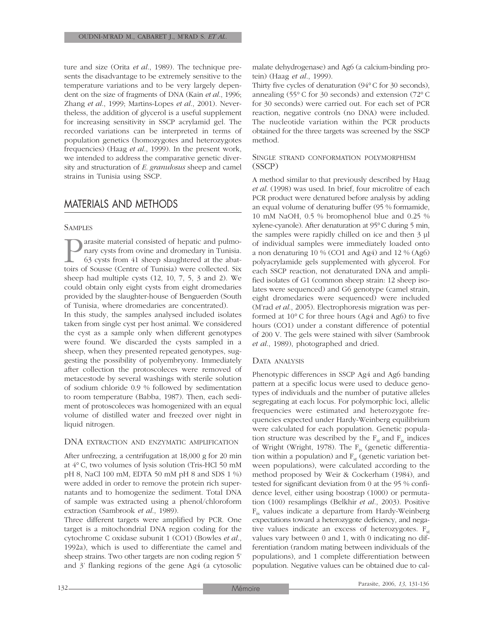ture and size (Orita *et al*., 1989). The technique presents the disadvantage to be extremely sensitive to the temperature variations and to be very largely dependent on the size of fragments of DNA (Kain *et al*., 1996; Zhang *et al*., 1999; Martins-Lopes *et al*., 2001). Nevertheless, the addition of glycerol is a useful supplement for increasing sensitivity in SSCP acrylamid gel. The recorded variations can be interpreted in terms of population genetics (homozygotes and heterozygotes frequencies) (Haag *et al*., 1999). In the present work, we intended to address the comparative genetic diversity and structuration of *E. granulosus* sheep and camel strains in Tunisia using SSCP.

# MATERIALS AND METHODS

#### **SAMPLES**

arasite material consisted of hepatic and pulmonary cysts from ovine and dromedary in Tunisia. 63 cysts from 41 sheep slaughtered at the abattoirs of Sousse (Centre of Tunisia) were collected. Six sheep had multiple cysts (12, 10, 7, 5, 3 and 2). We could obtain only eight cysts from eight dromedaries provided by the slaughter-house of Benguerden (South of Tunisia, where dromedaries are concentrated).

In this study, the samples analysed included isolates taken from single cyst per host animal. We considered the cyst as a sample only when different genotypes were found. We discarded the cysts sampled in a sheep, when they presented repeated genotypes, suggesting the possibility of polyembryony. Immediately after collection the protoscoleces were removed of metacestode by several washings with sterile solution of sodium chloride 0.9 % followed by sedimentation to room temperature (Babba, 1987). Then, each sediment of protoscoleces was homogenized with an equal volume of distilled water and freezed over night in liquid nitrogen.

#### DNA EXTRACTION AND ENZYMATIC AMPLIFICATION

After unfreezing, a centrifugation at 18,000 g for 20 min at 4° C, two volumes of lysis solution (Tris-HCl 50 mM pH 8, NaCl 100 mM, EDTA 50 mM pH 8 and SDS 1 %) were added in order to remove the protein rich supernatants and to homogenize the sediment. Total DNA of sample was extracted using a phenol/chloroform extraction (Sambrook *et al*., 1989).

Three different targets were amplified by PCR. One target is a mitochondrial DNA region coding for the cytochrome C oxidase subunit 1 (CO1) (Bowles *et al*., 1992a), which is used to differentiate the camel and sheep strains. Two other targets are non coding region 5' and 3' flanking regions of the gene Ag4 (a cytosolic

malate dehydrogenase) and Ag6 (a calcium-binding protein) (Haag *et al*., 1999).

Thirty five cycles of denaturation (94°C for 30 seconds), annealing (55° C for 30 seconds) and extension (72° C for 30 seconds) were carried out. For each set of PCR reaction, negative controls (no DNA) were included. The nucleotide variation within the PCR products obtained for the three targets was screened by the SSCP method.

### SINGLE STRAND CONFORMATION POLYMORPHISM (SSCP)

A method similar to that previously described by Haag *et al*. (1998) was used. In brief, four microlitre of each PCR product were denatured before analysis by adding an equal volume of denaturing buffer (95 % formamide, 10 mM NaOH, 0.5 % bromophenol blue and 0.25 % xylene-cyanole). After denaturation at 95°C during 5 min, the samples were rapidly chilled on ice and then 3 µl of individual samples were immediately loaded onto a non denaturing 10 % (CO1 and Ag4) and 12 % (Ag6) polyacrylamide gels supplemented with glycerol. For each SSCP reaction, not denaturated DNA and amplified isolates of G1 (common sheep strain: 12 sheep isolates were sequenced) and G6 genotype (camel strain, eight dromedaries were sequenced) were included (M'rad *et al*., 2005). Electrophoresis migration was performed at 10° C for three hours (Ag4 and Ag6) to five hours (CO1) under a constant difference of potential of 200 V. The gels were stained with silver (Sambrook *et al*., 1989), photographed and dried.

#### DATA ANALYSIS

Phenotypic differences in SSCP Ag4 and Ag6 banding pattern at a specific locus were used to deduce genotypes of individuals and the number of putative alleles segregating at each locus. For polymorphic loci, allelic frequencies were estimated and heterozygote frequencies expected under Hardy-Weinberg equilibrium were calculated for each population. Genetic population structure was described by the  $F_{st}$  and  $F_{is}$  indices of Wright (Wright, 1978). The  $F_{is}$  (genetic differentiation within a population) and  $F_{st}$  (genetic variation between populations), were calculated according to the method proposed by Weir & Cockerham (1984), and tested for significant deviation from 0 at the 95 % confidence level, either using boostrap (1000) or permutation (100) resamplings (Belkhir *et al*., 2003). Positive  $F_{is}$  values indicate a departure from Hardy-Weinberg expectations toward a heterozygote deficiency, and negative values indicate an excess of heterozygotes.  $F_{st}$ values vary between 0 and 1, with 0 indicating no differentiation (random mating between individuals of the populations), and 1 complete differentiation between population. Negative values can be obtained due to cal-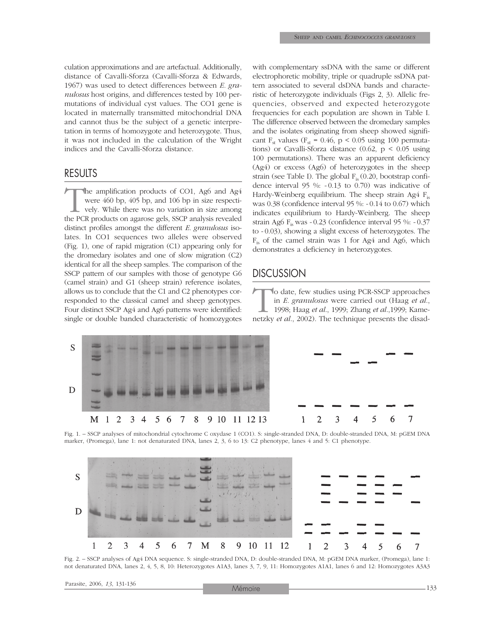culation approximations and are artefactual. Additionally, distance of Cavalli-Sforza (Cavalli-Sforza & Edwards, 1967) was used to detect differences between *E. granulosus* host origins, and differences tested by 100 permutations of individual cyst values. The CO1 gene is located in maternally transmitted mitochondrial DNA and cannot thus be the subject of a genetic interpretation in terms of homozygote and heterozygote. Thus, it was not included in the calculation of the Wright indices and the Cavalli-Sforza distance.

### RESULTS

The amplification products of CO1, Ag6 and Ag4 were 460 bp, 405 bp, and 106 bp in size respectively. While there was no variation in size among the PCR products on agarose gels, SSCP analysis revealed distinct profiles amongst the different *E. granulosus* isolates. In CO1 sequences two alleles were observed (Fig. 1), one of rapid migration (C1) appearing only for the dromedary isolates and one of slow migration (C2) identical for all the sheep samples. The comparison of the SSCP pattern of our samples with those of genotype G6 (camel strain) and G1 (sheep strain) reference isolates, allows us to conclude that the C1 and C2 phenotypes corresponded to the classical camel and sheep genotypes. Four distinct SSCP Ag4 and Ag6 patterns were identified: single or double banded characteristic of homozygotes with complementary ssDNA with the same or different electrophoretic mobility, triple or quadruple ssDNA pattern associated to several dsDNA bands and characteristic of heterozygote individuals (Figs 2, 3). Allelic frequencies, observed and expected heterozygote frequencies for each population are shown in Table I. The difference observed between the dromedary samples and the isolates originating from sheep showed significant  $F_{st}$  values ( $F_{st}$  = 0.46, p < 0.05 using 100 permutations) or Cavalli-Sforza distance  $(0.62, p < 0.05)$  using 100 permutations). There was an apparent deficiency (Ag4) or excess (Ag6) of heterozygotes in the sheep strain (see Table I). The global  $F_{iS}(0.20,$  bootstrap confidence interval 95 %: -0.13 to 0.70) was indicative of Hardy-Weinberg equilibrium. The sheep strain Ag4  $F_i$ was 0.38 (confidence interval 95 %: -0.14 to 0.67) which indicates equilibrium to Hardy-Weinberg. The sheep strain Ag6  $F$ <sub>is</sub> was -0.23 (confidence interval 95 %: -0.37 to -0.03), showing a slight excess of heterozygotes. The  $F_{iS}$  of the camel strain was 1 for Ag4 and Ag6, which demonstrates a deficiency in heterozygotes.

### **DISCUSSION**

**To** date, few studies using PCR-SSCP approaches<br>in *E. granulosus* were carried out (Haag *et al.*, 1998; Haag *et al.*, 1999; Zhang *et al.*, 1999; Kame-<br>netzky *et al.*, 2002). The technique presents the disadin *E. granulosus* were carried out (Haag *et al*., 1998; Haag *et al*., 1999; Zhang *et al*.,1999; Kame-



Fig. 1. – SSCP analyses of mitochondrial cytochrome C oxydase 1 (CO1). S: single-stranded DNA, D: double-stranded DNA, M: pGEM DNA marker, (Promega), lane 1: not denaturated DNA, lanes 2, 3, 6 to 13: C2 phenotype, lanes 4 and 5: C1 phenotype.



Fig. 2. – SSCP analyses of Ag4 DNA sequence. S: single-stranded DNA, D: double-stranded DNA, M: pGEM DNA marker, (Promega), lane 1: not denaturated DNA, lanes 2, 4, 5, 8, 10: Heterozygotes A1A3, lanes 3, 7, 9, 11: Homozygotes A1A1, lanes 6 and 12: Homozygotes A3A3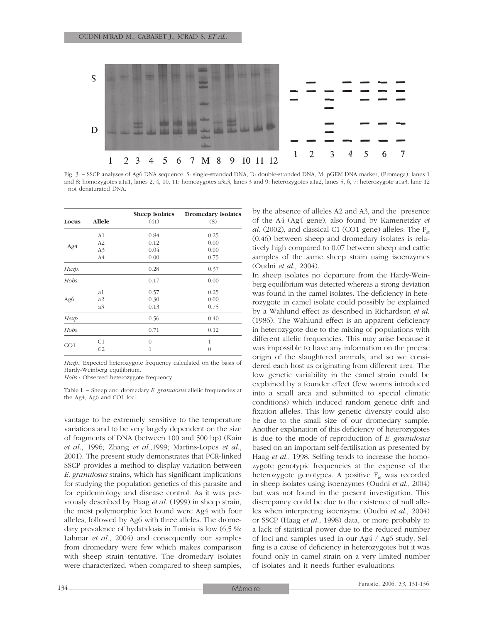

Fig. 3. – SSCP analyses of Ag6 DNA sequence. S: single-stranded DNA, D: double-stranded DNA, M: pGEM DNA marker, (Promega), lanes 1 and 8: homozygotes a1a1, lanes 2, 4, 10, 11: homozygotes a3a3, lanes 3 and 9: heterozygotes a1a2, lanes 5, 6, 7: heterozygote a1a3, lane 12 : not denaturated DNA.

| Locus           | <b>Allele</b>  | Sheep isolates<br>(41) | <b>Dromedary</b> isolates<br>(8) |
|-----------------|----------------|------------------------|----------------------------------|
| Ag4             | A1             | 0.84                   | 0.25                             |
|                 | A <sub>2</sub> | 0.12                   | 0.00                             |
|                 | A <sub>3</sub> | 0.04                   | 0.00                             |
|                 | A4             | 0.00                   | 0.75                             |
| Hexp.           |                | 0.28                   | 0.37                             |
| Hobs.           |                | 0.17                   | 0.00                             |
| Ag <sub>6</sub> | a1             | 0.57                   | 0.25                             |
|                 | a <sub>2</sub> | 0.30                   | 0.00                             |
|                 | a3             | 0.13                   | 0.75                             |
| Hexp.           |                | 0.56                   | 0.40                             |
| Hobs.           |                | 0.71                   | 0.12                             |
| CO <sub>1</sub> | C1             | $\Omega$               | 1                                |
|                 | C <sub>2</sub> | 1                      | $\Omega$                         |

*Hexp*.: Expected heterozygote frequency calculated on the basis of Hardy-Weinberg equilibrium.

*Hobs.*: Observed heterozygote frequency.

Table I. – Sheep and dromedary *E. granulosus* allelic frequencies at the Ag4, Ag6 and CO1 loci.

vantage to be extremely sensitive to the temperature variations and to be very largely dependent on the size of fragments of DNA (between 100 and 500 bp) (Kain *et al*., 1996; Zhang *et al*.,1999; Martins-Lopes *et al*., 2001). The present study demonstrates that PCR-linked SSCP provides a method to display variation between *E. granulosus* strains, which has significant implications for studying the population genetics of this parasite and for epidemiology and disease control. As it was previously described by Haag *et al.* (1999) in sheep strain, the most polymorphic loci found were Ag4 with four alleles, followed by Ag6 with three alleles. The dromedary prevalence of hydatidosis in Tunisia is low (6,5 %: Lahmar *et al*., 2004) and consequently our samples from dromedary were few which makes comparison with sheep strain tentative. The dromedary isolates were characterized, when compared to sheep samples, by the absence of alleles A2 and A3, and the presence of the A4 (Ag4 gene), also found by Kamenetzky *et al.* (2002), and classical C1 (CO1 gene) alleles. The  $F_{st}$ (0.46) between sheep and dromedary isolates is relatively high compared to 0.07 between sheep and cattle samples of the same sheep strain using isoenzymes (Oudni *et al*., 2004).

In sheep isolates no departure from the Hardy-Weinberg equilibrium was detected whereas a strong deviation was found in the camel isolates. The deficiency in heterozygote in camel isolate could possibly be explained by a Wahlund effect as described in Richardson *et al*. (1986). The Wahlund effect is an apparent deficiency in heterozygote due to the mixing of populations with different allelic frequencies. This may arise because it was impossible to have any information on the precise origin of the slaughtered animals, and so we considered each host as originating from different area. The low genetic variability in the camel strain could be explained by a founder effect (few worms introduced into a small area and submitted to special climatic conditions) which induced random genetic drift and fixation alleles. This low genetic diversity could also be due to the small size of our dromedary sample. Another explanation of this deficiency of heterozygotes is due to the mode of reproduction of *E. granulosus* based on an important self-fertilisation as presented by Haag *et al*., 1998. Selfing tends to increase the homozygote genotypic frequencies at the expense of the heterozygote genotypes. A positive F<sub>is</sub> was recorded in sheep isolates using isoenzymes (Oudni *et al.*, 2004) but was not found in the present investigation. This discrepancy could be due to the existence of null alleles when interpreting isoenzyme (Oudni *et al*., 2004) or SSCP (Haag *et al*., 1998) data, or more probably to a lack of statistical power due to the reduced number of loci and samples used in our Ag4 / Ag6 study. Selfing is a cause of deficiency in heterozygotes but it was found only in camel strain on a very limited number of isolates and it needs further evaluations.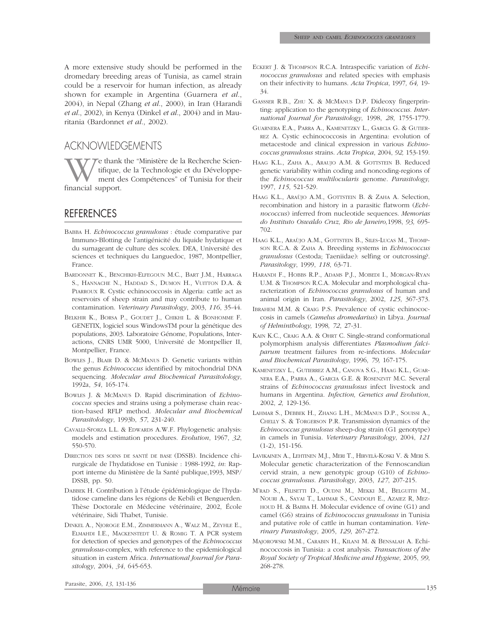A more extensive study should be performed in the dromedary breeding areas of Tunisia, as camel strain could be a reservoir for human infection, as already shown for example in Argentina (Guarnera *et al*., 2004), in Nepal (Zhang *et al*., 2000), in Iran (Harandi *et al*., 2002), in Kenya (Dinkel *et al*., 2004) and in Mauritania (Bardonnet *et al*., 2002).

## ACKNOWLEDGEMENTS

We thank the "Ministère de la Recherche Scientifique, de la Technologie et du Développement des Compétences" of Tunisia for their financial support.

## REFERENCES

- BABBA H. *Echinococcus granulosus* : étude comparative par Immuno-Blotting de l'antigénicité du liquide hydatique et du surnageant de culture des scolex. DEA, Université des sciences et techniques du Languedoc, 1987, Montpellier, France.
- BARDONNET K., BENCHIKH-ELFEGOUN M.C., BART J.M., HARRAGA S., HANNACHE N., HADDAD S., DUMON H., VUITTON D.A. & PIARROUX R. Cystic echinococcosis in Algeria: cattle act as reservoirs of sheep strain and may contribute to human contamination. *Veterinary Parasitology*, 2003, *116*, 35-44.
- BELKHIR K., BORSA P., GOUDET J., CHIKHI L. & BONHOMME F. GENETIX, logiciel sous WindowsTM pour la génétique des populations, 2003. Laboratoire Génome, Populations, Interactions, CNRS UMR 5000, Université de Montpellier II, Montpellier, France.
- BOWLES J., BLAIR D. & MCMANUS D. Genetic variants within the genus *Echinococcus* identified by mitochondrial DNA sequencing. *Molecular and Biochemical Parasitolology*, 1992a, *54*, 165-174.
- BOWLES J. & MCMANUS D. Rapid discrimination of *Echinococcus* species and strains using a polymerase chain reaction-based RFLP method. *Molecular and Biochemical Parasitolology*, 1993b, *57*, 231-240.
- CAVALLI-SFORZA L.L. & EDWARDS A.W.F. Phylogenetic analysis: models and estimation procedures. *Evolution*, 1967, *32*, 550-570.
- DIRECTION DES SOINS DE SANTÉ DE BASE (DSSB). Incidence chirurgicale de l'hydatidose en Tunisie : 1988-1992, *in*: Rapport interne du Ministère de la Santé publique,1993, MSP/ DSSB, pp. 50.
- DABBEK H. Contribution à l'étude épidémiologique de l'hydatidose cameline dans les régions de Kebili et Benguerden. Thèse Doctorale en Médecine vétérinaire, 2002, École vétérinaire, Sidi Thabet, Tunisie.
- DINKEL A., NJOROGE E.M., ZIMMERMANN A., WALZ M., ZEYHLE E., ELMAHDI I.E., MACKENSTEDT U. & ROMIG T. A PCR system for detection of species and genotypes of the *Echinococcus granulosus*-complex, with reference to the epidemiological situation in eastern Africa. *International Journal for Parasitology*, 2004, *34*, 645-653.
- ECKERT J. & THOMPSON R.C.A. Intraspecific variation of *Echinococcus granulosus* and related species with emphasis on their infectivity to humans. *Acta Tropica*, 1997*, 64,* 19- 34.
- GASSSER R.B., ZHU X. & MCMANUS D.P. Dideoxy fingerprinting: application to the genotyping of *Echinococcus. International Journal for Parasitology*, 1998, *28*, 1755-1779.
- GUARNERA E.A., PARRA A., KAMENETZKY L., GARCIA G. & GUTIER-REZ A. Cystic echinococcosis in Argentina: evolution of metacestode and clinical expression in various *Echinococcus granulosus* strains. *Acta Tropica*, 2004, *92,* 153-159.
- HAAG K.L., ZAHA A., ARAUJO A.M. & GOTTSTEIN B. Reduced genetic variability within coding and noncoding-regions of the *Echinococcus multilocularis* genome. *Parasitology,* 1997, *115*, 521-529.
- HAAG K.L., ARAÙJO A.M., GOTTSTEIN B. & ZAHA A. Selection, recombination and history in a parasitic flatworm (*Echinococcus*) inferred from nucleotide sequences. *Memorias do Instituto Oswaldo Cruz, Rio de Janeiro,*1998, *93,* 695- 702.
- HAAG K.L., ARAÙJO A.M., GOTTSTEIN B., SILES-LUCAS M., THOMP-SON R.C.A. & ZAHA A. Breeding systems in *Echinococcus granulosus* (Cestoda; Taeniidae): selfing or outcrossing?. *Parasitology*, 1999, *118*, 63-71.
- HARANDI F., HOBBS R.P., ADAMS P.J., MOBEDI I., MORGAN-RYAN U.M. & THOMPSON R.C.A. Molecular and morphological characterization of *Echinococcus granulosus* of human and animal origin in Iran. *Parasitology*, 2002, *125*, 367-373.
- IBRAHEM M.M. & CRAIG P.S. Prevalence of cystic echinococcosis in camels (*Camelus dromedarius*) in Libya. *Journal of Helminthology,* 1998*, 72*, 27-31.
- KAIN K.C., CRAIG A.A. & OHRT C. Single-strand conformational polymorphism analysis differentiates *Plasmodium falciparum* treatment failures from re-infections. *Molecular and Biochemical Parasitology*, 1996, *79,* 167-175.
- KAMENETZKY L., GUTIERREZ A.M., CANOVA S.G., HAAG K.L., GUAR-NERA E.A., PARRA A., GARCIA G.E. & ROSENZVIT M.C. Several strains of *Echinococcus granulosus* infect livestock and humans in Argentina. *Infection, Genetics and Evolution*, 2002, *2,* 129-136.
- LAHMAR S., DEBBEK H., ZHANG L.H., MCMANUS D.P., SOUISSI A., CHELLY S. & TORGERSON P.R. Transmission dynamics of the *Echinococcus granulosus* sheep-dog strain (G1 genotytpe) in camels in Tunisia. *Veterinary Parasitology*, 2004, *121* (1-2), 151-156.
- LAVIKAINEN A., LEHTINEN M.J., MERI T., HIRVELÄ-KOSKI V. & MERI S. Molecular genetic characterization of the Fennoscandian cervid strain, a new genotypic group (G10) of *Echinococcus granulosus*. *Parasitology*, 2003, *127*, 207-215.
- M'RAD S., FILISETTI D., OUDNI M., MEKKI M., BELGUITH M., NOURI A., SAYAI T., LAHMAR S., CANDOLFI E., AZAIEZ R, MEZ-HOUD H. & BABBA H. Molecular evidence of ovine (G1) and camel (G6) strains of *Echinococcus granulosus* in Tunisia and putative role of cattle in human contamination. *Veterinary Parasitology*, 2005, *129*, 267-272.
- MAJOROWSKI M.M., CARABIN H., KILANI M. & BENSALAH A. Echinococcosis in Tunisia: a cost analysis. *Transactions of the Royal Society of Tropical Medicine and Hygiene*, 2005, *99*, 268-278.